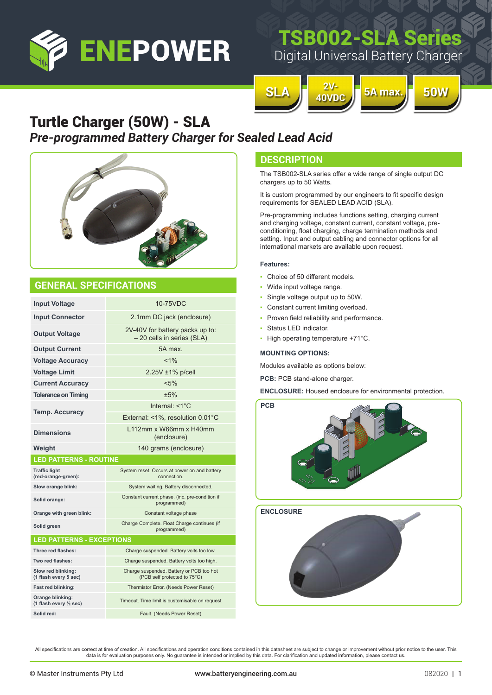

# TSB002-SLA Seri

Digital Universal Battery Charger



### Turtle Charger (50W) - SLA *Pre-programmed Battery Charger for Sealed Lead Acid*



### **GENERAL SPECIFICATIONS**

| <b>Input Voltage</b>                        | 10-75VDC                                                                 |  |  |  |  |  |  |
|---------------------------------------------|--------------------------------------------------------------------------|--|--|--|--|--|--|
| <b>Input Connector</b>                      | 2.1mm DC jack (enclosure)                                                |  |  |  |  |  |  |
| <b>Output Voltage</b>                       | 2V-40V for battery packs up to:<br>- 20 cells in series (SLA)            |  |  |  |  |  |  |
| <b>Output Current</b>                       | 5A max.                                                                  |  |  |  |  |  |  |
| <b>Voltage Accuracy</b>                     | $< 1\%$                                                                  |  |  |  |  |  |  |
| <b>Voltage Limit</b>                        | 2.25V ±1% p/cell                                                         |  |  |  |  |  |  |
| <b>Current Accuracy</b>                     | $< 5\%$                                                                  |  |  |  |  |  |  |
| <b>Tolerance on Timing</b>                  | $+5%$                                                                    |  |  |  |  |  |  |
| <b>Temp. Accuracy</b>                       | Internal: $<1^{\circ}C$                                                  |  |  |  |  |  |  |
|                                             | External: <1%, resolution 0.01°C                                         |  |  |  |  |  |  |
| <b>Dimensions</b>                           | 112mm x W66mm x H40mm<br>(enclosure)                                     |  |  |  |  |  |  |
| Weight                                      | 140 grams (enclosure)                                                    |  |  |  |  |  |  |
| <b>LED PATTERNS - ROUTINE</b>               |                                                                          |  |  |  |  |  |  |
|                                             |                                                                          |  |  |  |  |  |  |
| <b>Traffic light</b><br>(red-orange-green): | System reset. Occurs at power on and battery<br>connection.              |  |  |  |  |  |  |
| Slow orange blink:                          | System waiting. Battery disconnected.                                    |  |  |  |  |  |  |
| Solid orange:                               | Constant current phase. (inc. pre-condition if<br>programmed)            |  |  |  |  |  |  |
| Orange with green blink:                    | Constant voltage phase                                                   |  |  |  |  |  |  |
| Solid green                                 | Charge Complete. Float Charge continues (if<br>programmed)               |  |  |  |  |  |  |
| <b>LED PATTERNS - EXCEPTIONS</b>            |                                                                          |  |  |  |  |  |  |
| Three red flashes:                          | Charge suspended. Battery volts too low.                                 |  |  |  |  |  |  |
| Two red flashes:                            | Charge suspended. Battery volts too high.                                |  |  |  |  |  |  |
| Slow red blinking:<br>(1 flash every 5 sec) | Charge suspended. Battery or PCB too hot<br>(PCB self protected to 75°C) |  |  |  |  |  |  |
| Fast red blinking:                          | Thermistor Error. (Needs Power Reset)                                    |  |  |  |  |  |  |
| Orange blinking:<br>(1 flash every 1/2 sec) | Timeout. Time limit is customisable on request                           |  |  |  |  |  |  |
| Solid red:                                  | Fault. (Needs Power Reset)                                               |  |  |  |  |  |  |

### **DESCRIPTION**

The TSB002-SLA series offer a wide range of single output DC chargers up to 50 Watts.

It is custom programmed by our engineers to fit specific design requirements for SEALED LEAD ACID (SLA).

Pre-programming includes functions setting, charging current and charging voltage, constant current, constant voltage, preconditioning, float charging, charge termination methods and setting. Input and output cabling and connector options for all international markets are available upon request.

#### **Features:**

- Choice of 50 different models.
- Wide input voltage range.
- Single voltage output up to 50W.
- Constant current limiting overload.
- Proven field reliability and performance.
- Status LED indicator.
- High operating temperature +71°C.

#### **MOUNTING OPTIONS:**

Modules available as options below:

**PCB: PCB stand-alone charger.** 

**ENCLOSURE:** Housed enclosure for environmental protection.



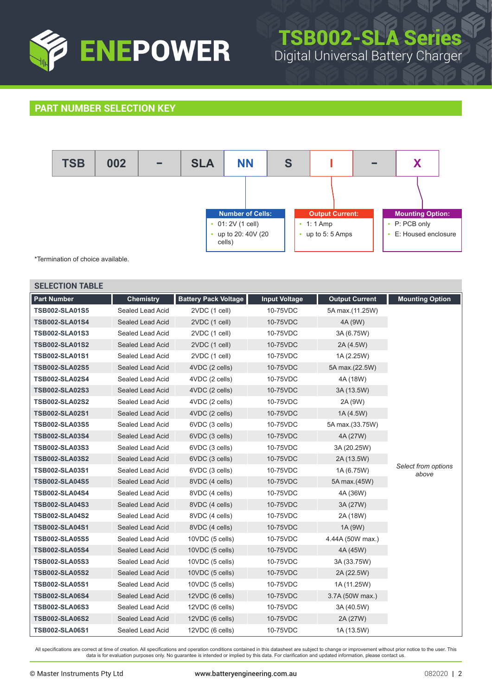

# TSB002-SLA Series Digital Universal Battery Charger

### **PART NUMBER SELECTION KEY**



\*Termination of choice available.

| <b>SELECTION TABLE</b> |                  |                             |                      |                       |                              |
|------------------------|------------------|-----------------------------|----------------------|-----------------------|------------------------------|
| <b>Part Number</b>     | <b>Chemistry</b> | <b>Battery Pack Voltage</b> | <b>Input Voltage</b> | <b>Output Current</b> | <b>Mounting Option</b>       |
| <b>TSB002-SLA01S5</b>  | Sealed Lead Acid | 2VDC (1 cell)               | 10-75VDC             | 5A max.(11.25W)       |                              |
| <b>TSB002-SLA01S4</b>  | Sealed Lead Acid | 2VDC (1 cell)               | 10-75VDC             | 4A (9W)               |                              |
| <b>TSB002-SLA01S3</b>  | Sealed Lead Acid | 2VDC (1 cell)               | 10-75VDC             | 3A (6.75W)            |                              |
| <b>TSB002-SLA01S2</b>  | Sealed Lead Acid | 2VDC (1 cell)               | 10-75VDC             | 2A (4.5W)             |                              |
| <b>TSB002-SLA01S1</b>  | Sealed Lead Acid | 2VDC (1 cell)               | 10-75VDC             | 1A (2.25W)            |                              |
| <b>TSB002-SLA02S5</b>  | Sealed Lead Acid | 4VDC (2 cells)              | 10-75VDC             | 5A max.(22.5W)        |                              |
| <b>TSB002-SLA02S4</b>  | Sealed Lead Acid | 4VDC (2 cells)              | 10-75VDC             | 4A (18W)              |                              |
| <b>TSB002-SLA02S3</b>  | Sealed Lead Acid | 4VDC (2 cells)              | 10-75VDC             | 3A (13.5W)            |                              |
| <b>TSB002-SLA02S2</b>  | Sealed Lead Acid | 4VDC (2 cells)              | 10-75VDC             | 2A (9W)               |                              |
| <b>TSB002-SLA02S1</b>  | Sealed Lead Acid | 4VDC (2 cells)              | 10-75VDC             | 1A (4.5W)             |                              |
| <b>TSB002-SLA03S5</b>  | Sealed Lead Acid | 6VDC (3 cells)              | 10-75VDC             | 5A max.(33.75W)       |                              |
| <b>TSB002-SLA03S4</b>  | Sealed Lead Acid | 6VDC (3 cells)              | 10-75VDC             | 4A (27W)              | Select from options<br>above |
| <b>TSB002-SLA03S3</b>  | Sealed Lead Acid | 6VDC (3 cells)              | 10-75VDC             | 3A (20.25W)           |                              |
| <b>TSB002-SLA03S2</b>  | Sealed Lead Acid | 6VDC (3 cells)              | 10-75VDC             | 2A (13.5W)            |                              |
| <b>TSB002-SLA03S1</b>  | Sealed Lead Acid | 6VDC (3 cells)              | 10-75VDC             | 1A (6.75W)            |                              |
| <b>TSB002-SLA04S5</b>  | Sealed Lead Acid | 8VDC (4 cells)              | 10-75VDC             | 5A max.(45W)          |                              |
| <b>TSB002-SLA04S4</b>  | Sealed Lead Acid | 8VDC (4 cells)              | 10-75VDC             | 4A (36W)              |                              |
| <b>TSB002-SLA04S3</b>  | Sealed Lead Acid | 8VDC (4 cells)              | 10-75VDC             | 3A (27W)              |                              |
| <b>TSB002-SLA04S2</b>  | Sealed Lead Acid | 8VDC (4 cells)              | 10-75VDC             | 2A (18W)              |                              |
| <b>TSB002-SLA04S1</b>  | Sealed Lead Acid | 8VDC (4 cells)              | 10-75VDC             | 1A (9W)               |                              |
| <b>TSB002-SLA05S5</b>  | Sealed Lead Acid | 10VDC (5 cells)             | 10-75VDC             | 4.44A (50W max.)      |                              |
| <b>TSB002-SLA05S4</b>  | Sealed Lead Acid | 10VDC (5 cells)             | 10-75VDC             | 4A (45W)              |                              |
| <b>TSB002-SLA05S3</b>  | Sealed Lead Acid | 10VDC (5 cells)             | 10-75VDC             | 3A (33.75W)           |                              |
| <b>TSB002-SLA05S2</b>  | Sealed Lead Acid | 10VDC (5 cells)             | 10-75VDC             | 2A (22.5W)            |                              |
| <b>TSB002-SLA05S1</b>  | Sealed Lead Acid | 10VDC (5 cells)             | 10-75VDC             | 1A (11.25W)           |                              |
| <b>TSB002-SLA06S4</b>  | Sealed Lead Acid | 12VDC (6 cells)             | 10-75VDC             | 3.7A (50W max.)       |                              |
| <b>TSB002-SLA06S3</b>  | Sealed Lead Acid | 12VDC (6 cells)             | 10-75VDC             | 3A (40.5W)            |                              |
| <b>TSB002-SLA06S2</b>  | Sealed Lead Acid | 12VDC (6 cells)             | 10-75VDC             | 2A (27W)              |                              |
| <b>TSB002-SLA06S1</b>  | Sealed Lead Acid | 12VDC (6 cells)             | 10-75VDC             | 1A (13.5W)            |                              |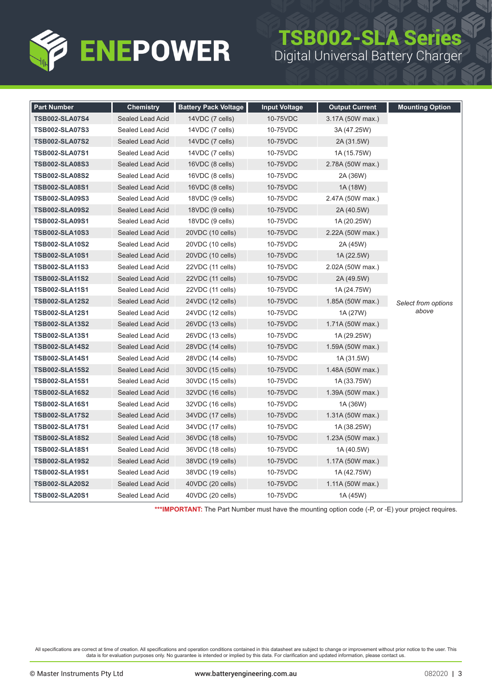

## TSB002-SLA Series Digital Universal Battery Charger

| <b>Part Number</b>    | <b>Chemistry</b> | <b>Battery Pack Voltage</b> | <b>Input Voltage</b> | <b>Output Current</b> | <b>Mounting Option</b> |
|-----------------------|------------------|-----------------------------|----------------------|-----------------------|------------------------|
| <b>TSB002-SLA07S4</b> | Sealed Lead Acid | 14VDC (7 cells)             | 10-75VDC             | 3.17A (50W max.)      |                        |
| <b>TSB002-SLA07S3</b> | Sealed Lead Acid | 14VDC (7 cells)             | 10-75VDC             | 3A (47.25W)           |                        |
| <b>TSB002-SLA07S2</b> | Sealed Lead Acid | $14VDC$ (7 cells)           | 10-75VDC             | 2A (31.5W)            |                        |
| <b>TSB002-SLA07S1</b> | Sealed Lead Acid | $14VDC$ $(7$ cells)         | 10-75VDC             | 1A (15.75W)           |                        |
| <b>TSB002-SLA08S3</b> | Sealed Lead Acid | 16VDC (8 cells)             | 10-75VDC             | 2.78A (50W max.)      |                        |
| <b>TSB002-SLA08S2</b> | Sealed Lead Acid | 16VDC (8 cells)             | 10-75VDC             | 2A (36W)              |                        |
| <b>TSB002-SLA08S1</b> | Sealed Lead Acid | 16VDC (8 cells)             | 10-75VDC             | 1A (18W)              |                        |
| <b>TSB002-SLA09S3</b> | Sealed Lead Acid | 18VDC (9 cells)             | 10-75VDC             | 2.47A (50W max.)      |                        |
| <b>TSB002-SLA09S2</b> | Sealed Lead Acid | 18VDC (9 cells)             | 10-75VDC             | 2A (40.5W)            |                        |
| <b>TSB002-SLA09S1</b> | Sealed Lead Acid | 18VDC (9 cells)             | 10-75VDC             | 1A (20.25W)           |                        |
| <b>TSB002-SLA10S3</b> | Sealed Lead Acid | 20VDC (10 cells)            | 10-75VDC             | 2.22A (50W max.)      |                        |
| <b>TSB002-SLA10S2</b> | Sealed Lead Acid | 20VDC (10 cells)            | 10-75VDC             | 2A (45W)              |                        |
| <b>TSB002-SLA10S1</b> | Sealed Lead Acid | 20VDC (10 cells)            | 10-75VDC             | 1A (22.5W)            |                        |
| <b>TSB002-SLA11S3</b> | Sealed Lead Acid | 22VDC (11 cells)            | 10-75VDC             | 2.02A (50W max.)      | Select from options    |
| <b>TSB002-SLA11S2</b> | Sealed Lead Acid | 22VDC (11 cells)            | 10-75VDC             | 2A (49.5W)            |                        |
| <b>TSB002-SLA11S1</b> | Sealed Lead Acid | 22VDC (11 cells)            | 10-75VDC             | 1A (24.75W)           |                        |
| <b>TSB002-SLA12S2</b> | Sealed Lead Acid | 24VDC (12 cells)            | 10-75VDC             | 1.85A (50W max.)      |                        |
| <b>TSB002-SLA12S1</b> | Sealed Lead Acid | 24VDC (12 cells)            | 10-75VDC             | 1A (27W)              | above                  |
| <b>TSB002-SLA13S2</b> | Sealed Lead Acid | 26VDC (13 cells)            | 10-75VDC             | 1.71A (50W max.)      |                        |
| <b>TSB002-SLA13S1</b> | Sealed Lead Acid | 26VDC (13 cells)            | 10-75VDC             | 1A (29.25W)           |                        |
| <b>TSB002-SLA14S2</b> | Sealed Lead Acid | 28VDC (14 cells)            | 10-75VDC             | 1.59A (50W max.)      |                        |
| <b>TSB002-SLA14S1</b> | Sealed Lead Acid | 28VDC (14 cells)            | 10-75VDC             | 1A (31.5W)            |                        |
| <b>TSB002-SLA15S2</b> | Sealed Lead Acid | 30VDC (15 cells)            | 10-75VDC             | 1.48A (50W max.)      |                        |
| <b>TSB002-SLA15S1</b> | Sealed Lead Acid | 30VDC (15 cells)            | 10-75VDC             | 1A (33.75W)           |                        |
| <b>TSB002-SLA16S2</b> | Sealed Lead Acid | 32VDC (16 cells)            | 10-75VDC             | 1.39A (50W max.)      |                        |
| <b>TSB002-SLA16S1</b> | Sealed Lead Acid | 32VDC (16 cells)            | 10-75VDC             | 1A (36W)              |                        |
| <b>TSB002-SLA17S2</b> | Sealed Lead Acid | 34VDC (17 cells)            | 10-75VDC             | 1.31A (50W max.)      |                        |
| <b>TSB002-SLA17S1</b> | Sealed Lead Acid | 34VDC (17 cells)            | 10-75VDC             | 1A (38.25W)           |                        |
| <b>TSB002-SLA18S2</b> | Sealed Lead Acid | 36VDC (18 cells)            | 10-75VDC             | 1.23A (50W max.)      |                        |
| <b>TSB002-SLA18S1</b> | Sealed Lead Acid | 36VDC (18 cells)            | 10-75VDC             | 1A (40.5W)            |                        |
| <b>TSB002-SLA19S2</b> | Sealed Lead Acid | 38VDC (19 cells)            | 10-75VDC             | 1.17A (50W max.)      |                        |
| <b>TSB002-SLA19S1</b> | Sealed Lead Acid | 38VDC (19 cells)            | 10-75VDC             | 1A (42.75W)           |                        |
| <b>TSB002-SLA20S2</b> | Sealed Lead Acid | 40VDC (20 cells)            | 10-75VDC             | 1.11A (50W max.)      |                        |
| TSB002-SLA20S1        | Sealed Lead Acid | 40VDC (20 cells)            | 10-75VDC             | 1A (45W)              |                        |

\*\*\*IMPORTANT: The Part Number must have the mounting option code (-P, or -E) your project requires.